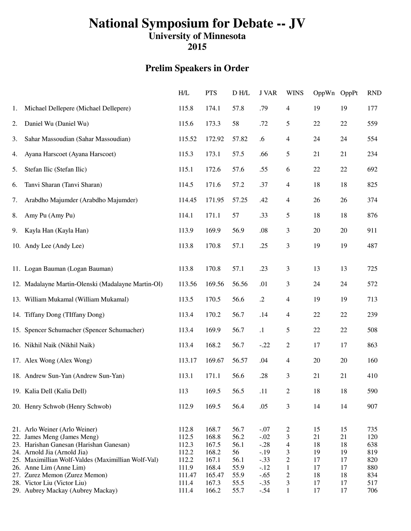# **National Symposium for Debate -- JV**

### **University of Minnesota**

**2015**

### **Prelim Speakers in Order**

|    |                                                          | H/L             | <b>PTS</b>     | D H/L        | <b>J VAR</b>     | <b>WINS</b>                      | OppWn OppPt |          | <b>RND</b> |
|----|----------------------------------------------------------|-----------------|----------------|--------------|------------------|----------------------------------|-------------|----------|------------|
| 1. | Michael Dellepere (Michael Dellepere)                    | 115.8           | 174.1          | 57.8         | .79              | $\overline{4}$                   | 19          | 19       | 177        |
| 2. | Daniel Wu (Daniel Wu)                                    | 115.6           | 173.3          | 58           | .72              | 5                                | 22          | 22       | 559        |
| 3. | Sahar Massoudian (Sahar Massoudian)                      | 115.52          | 172.92         | 57.82        | .6               | 4                                | 24          | 24       | 554        |
| 4. | Ayana Harscoet (Ayana Harscoet)                          | 115.3           | 173.1          | 57.5         | .66              | 5                                | 21          | 21       | 234        |
| 5. | Stefan Ilic (Stefan Ilic)                                | 115.1           | 172.6          | 57.6         | .55              | 6                                | $22\,$      | $22\,$   | 692        |
| 6. | Tanvi Sharan (Tanvi Sharan)                              | 114.5           | 171.6          | 57.2         | .37              | $\overline{4}$                   | 18          | 18       | 825        |
| 7. | Arabdho Majumder (Arabdho Majumder)                      | 114.45          | 171.95         | 57.25        | .42              | 4                                | 26          | 26       | 374        |
| 8. | Amy Pu (Amy Pu)                                          | 114.1           | 171.1          | 57           | .33              | 5                                | 18          | 18       | 876        |
| 9. | Kayla Han (Kayla Han)                                    | 113.9           | 169.9          | 56.9         | .08              | 3                                | 20          | 20       | 911        |
|    | 10. Andy Lee (Andy Lee)                                  | 113.8           | 170.8          | 57.1         | .25              | 3                                | 19          | 19       | 487        |
|    | 11. Logan Bauman (Logan Bauman)                          | 113.8           | 170.8          | 57.1         | .23              | 3                                | 13          | 13       | 725        |
|    | 12. Madalayne Martin-Olenski (Madalayne Martin-Ol)       | 113.56          | 169.56         | 56.56        | .01              | 3                                | 24          | 24       | 572        |
|    | 13. William Mukamal (William Mukamal)                    | 113.5           | 170.5          | 56.6         | $\cdot$ .2       | 4                                | 19          | 19       | 713        |
|    | 14. Tiffany Dong (TIffany Dong)                          | 113.4           | 170.2          | 56.7         | .14              | 4                                | 22          | 22       | 239        |
|    | 15. Spencer Schumacher (Spencer Schumacher)              | 113.4           | 169.9          | 56.7         | $\cdot^1$        | 5                                | $22\,$      | $22\,$   | 508        |
|    | 16. Nikhil Naik (Nikhil Naik)                            | 113.4           | 168.2          | 56.7         | $-.22$           | 2                                | 17          | 17       | 863        |
|    | 17. Alex Wong (Alex Wong)                                | 113.17          | 169.67         | 56.57        | .04              | 4                                | $20\,$      | 20       | 160        |
|    | 18. Andrew Sun-Yan (Andrew Sun-Yan)                      | 113.1           | 171.1          | 56.6         | .28              | 3                                | 21          | 21       | 410        |
|    | 19. Kalia Dell (Kalia Dell)                              | 113             | 169.5          | 56.5         | .11              | $\overline{2}$                   | $18\,$      | $18\,$   | 590        |
|    | 20. Henry Schwob (Henry Schwob)                          | 112.9           | 169.5          | 56.4         | .05              | 3                                | 14          | 14       | 907        |
|    | 21. Arlo Weiner (Arlo Weiner)                            | 112.8           | 168.7          | 56.7         | $-.07$           | $\overline{c}$                   | 15          | 15       | 735        |
|    | 22. James Meng (James Meng)                              | 112.5           | 168.8          | 56.2         | $-.02$           | 3                                | 21          | 21       | 120        |
|    | 23. Harishan Ganesan (Harishan Ganesan)                  | 112.3           | 167.5          | 56.1         | $-.28$           | $\overline{4}$                   | 18          | 18       | 638        |
|    | 24. Arnold Jia (Arnold Jia)                              | 112.2           | 168.2          | 56           | $-.19$           | 3                                | 19          | 19       | 819        |
|    | 25. Maximillian Wolf-Valdes (Maximillian Wolf-Val)       | 112.2           | 167.1<br>168.4 | 56.1         | $-.33$<br>$-.12$ | $\overline{c}$                   | 17          | 17       | 820        |
|    | 26. Anne Lim (Anne Lim)<br>27. Zurez Memon (Zurez Memon) | 111.9<br>111.47 | 165.47         | 55.9<br>55.9 | $-.65$           | $\mathbf{1}$<br>$\boldsymbol{2}$ | 17<br>18    | 17<br>18 | 880<br>834 |
|    | 28. Victor Liu (Victor Liu)                              | 111.4           | 167.3          | 55.5         | $-.35$           | 3                                | 17          | 17       | 517        |
|    | 29. Aubrey Mackay (Aubrey Mackay)                        | 111.4           | 166.2          | 55.7         | $-.54$           | $\mathbf{1}$                     | 17          | 17       | 706        |